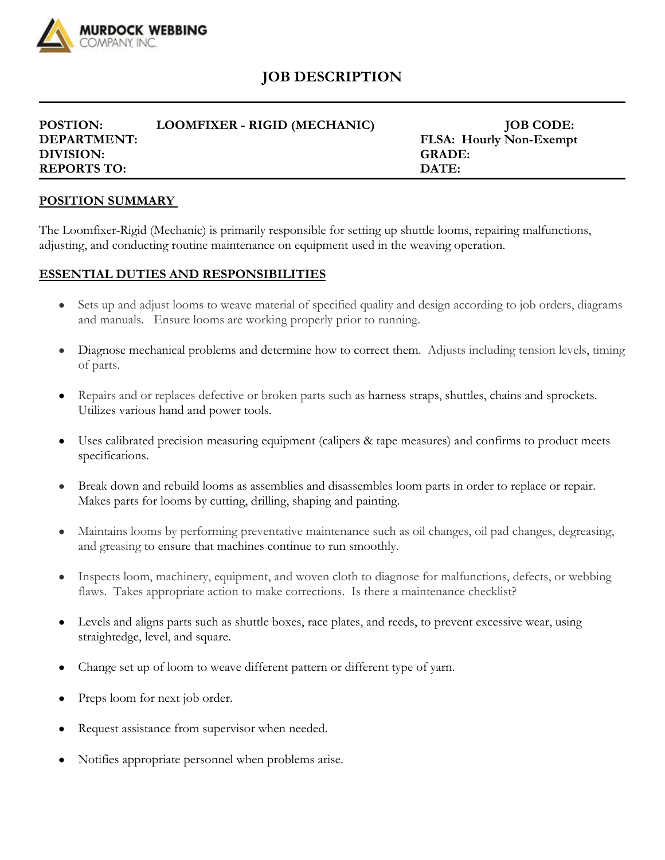

## **JOB DESCRIPTION**

| POSTION:           | LOOMFIXER - RIGID (MECHANIC) | <b>JOB CODE:</b>               |
|--------------------|------------------------------|--------------------------------|
| <b>DEPARTMENT:</b> |                              | <b>FLSA: Hourly Non-Exempt</b> |
| DIVISION:          |                              | <b>GRADE:</b>                  |
| <b>REPORTS TO:</b> |                              | DATE:                          |

## **POSITION SUMMARY**

The Loomfixer-Rigid (Mechanic) is primarily responsible for setting up shuttle looms, repairing malfunctions, adjusting, and conducting routine maintenance on equipment used in the weaving operation.

## **ESSENTIAL DUTIES AND RESPONSIBILITIES**

- Sets up and adjust looms to weave material of specified quality and design according to job orders, diagrams and manuals. Ensure looms are working properly prior to running.
- Diagnose mechanical problems and determine how to correct them. Adjusts including tension levels, timing of parts.
- Repairs and or replaces defective or broken parts such as harness straps, shuttles, chains and sprockets. Utilizes various hand and power tools.
- Uses calibrated precision measuring equipment (calipers & tape measures) and confirms to product meets specifications.
- Break down and rebuild looms as assemblies and disassembles loom parts in order to replace or repair. Makes parts for looms by cutting, drilling, shaping and painting.
- Maintains looms by performing preventative maintenance such as oil changes, oil pad changes, degreasing, and greasing to ensure that machines continue to run smoothly.
- Inspects loom, machinery, equipment, and woven cloth to diagnose for malfunctions, defects, or webbing flaws. Takes appropriate action to make corrections. Is there a maintenance checklist?
- Levels and aligns parts such as shuttle boxes, race plates, and reeds, to prevent excessive wear, using straightedge, level, and square.
- Change set up of loom to weave different pattern or different type of yarn.
- Preps loom for next job order.
- Request assistance from supervisor when needed.
- Notifies appropriate personnel when problems arise.